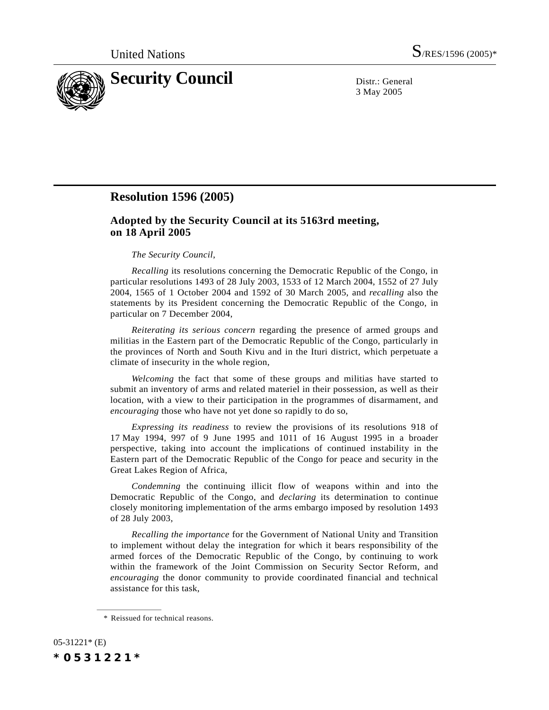

3 May 2005

## **Resolution 1596 (2005)**

## **Adopted by the Security Council at its 5163rd meeting, on 18 April 2005**

## *The Security Council*,

*Recalling* its resolutions concerning the Democratic Republic of the Congo, in particular resolutions 1493 of 28 July 2003, 1533 of 12 March 2004, 1552 of 27 July 2004, 1565 of 1 October 2004 and 1592 of 30 March 2005, and *recalling* also the statements by its President concerning the Democratic Republic of the Congo, in particular on 7 December 2004,

*Reiterating its serious concern* regarding the presence of armed groups and militias in the Eastern part of the Democratic Republic of the Congo, particularly in the provinces of North and South Kivu and in the Ituri district, which perpetuate a climate of insecurity in the whole region,

*Welcoming* the fact that some of these groups and militias have started to submit an inventory of arms and related materiel in their possession, as well as their location, with a view to their participation in the programmes of disarmament, and *encouraging* those who have not yet done so rapidly to do so,

*Expressing its readiness* to review the provisions of its resolutions 918 of 17 May 1994, 997 of 9 June 1995 and 1011 of 16 August 1995 in a broader perspective, taking into account the implications of continued instability in the Eastern part of the Democratic Republic of the Congo for peace and security in the Great Lakes Region of Africa,

*Condemning* the continuing illicit flow of weapons within and into the Democratic Republic of the Congo, and *declaring* its determination to continue closely monitoring implementation of the arms embargo imposed by resolution 1493 of 28 July 2003,

*Recalling the importance* for the Government of National Unity and Transition to implement without delay the integration for which it bears responsibility of the armed forces of the Democratic Republic of the Congo, by continuing to work within the framework of the Joint Commission on Security Sector Reform, and *encouraging* the donor community to provide coordinated financial and technical assistance for this task,

05-31221\* (E) *\*0531221\**

<sup>\*</sup> Reissued for technical reasons.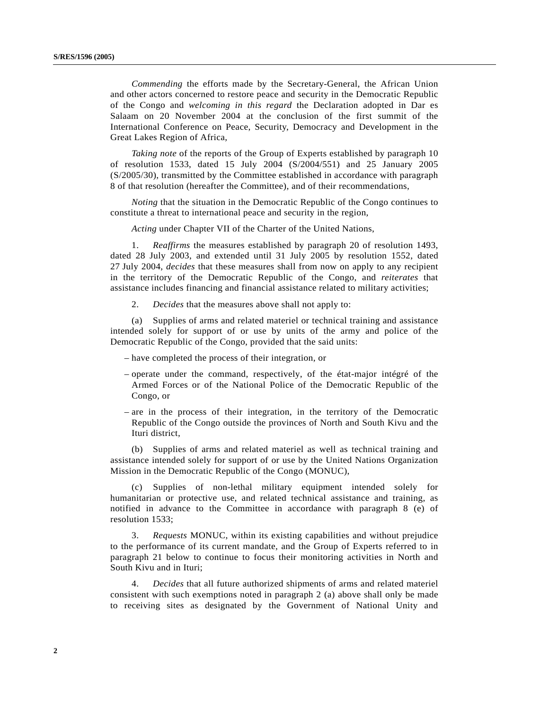*Commending* the efforts made by the Secretary-General, the African Union and other actors concerned to restore peace and security in the Democratic Republic of the Congo and *welcoming in this regard* the Declaration adopted in Dar es Salaam on 20 November 2004 at the conclusion of the first summit of the International Conference on Peace, Security, Democracy and Development in the Great Lakes Region of Africa,

*Taking note* of the reports of the Group of Experts established by paragraph 10 of resolution 1533, dated 15 July 2004 (S/2004/551) and 25 January 2005 (S/2005/30), transmitted by the Committee established in accordance with paragraph 8 of that resolution (hereafter the Committee), and of their recommendations,

*Noting* that the situation in the Democratic Republic of the Congo continues to constitute a threat to international peace and security in the region,

*Acting* under Chapter VII of the Charter of the United Nations,

1. *Reaffirms* the measures established by paragraph 20 of resolution 1493, dated 28 July 2003, and extended until 31 July 2005 by resolution 1552, dated 27 July 2004, *decides* that these measures shall from now on apply to any recipient in the territory of the Democratic Republic of the Congo, and *reiterates* that assistance includes financing and financial assistance related to military activities;

2. *Decides* that the measures above shall not apply to:

(a) Supplies of arms and related materiel or technical training and assistance intended solely for support of or use by units of the army and police of the Democratic Republic of the Congo, provided that the said units:

- have completed the process of their integration, or
- operate under the command, respectively, of the état-major intégré of the Armed Forces or of the National Police of the Democratic Republic of the Congo, or
- are in the process of their integration, in the territory of the Democratic Republic of the Congo outside the provinces of North and South Kivu and the Ituri district,

(b) Supplies of arms and related materiel as well as technical training and assistance intended solely for support of or use by the United Nations Organization Mission in the Democratic Republic of the Congo (MONUC),

(c) Supplies of non-lethal military equipment intended solely for humanitarian or protective use, and related technical assistance and training, as notified in advance to the Committee in accordance with paragraph 8 (e) of resolution 1533;

3. *Requests* MONUC, within its existing capabilities and without prejudice to the performance of its current mandate, and the Group of Experts referred to in paragraph 21 below to continue to focus their monitoring activities in North and South Kivu and in Ituri;

4. *Decides* that all future authorized shipments of arms and related materiel consistent with such exemptions noted in paragraph 2 (a) above shall only be made to receiving sites as designated by the Government of National Unity and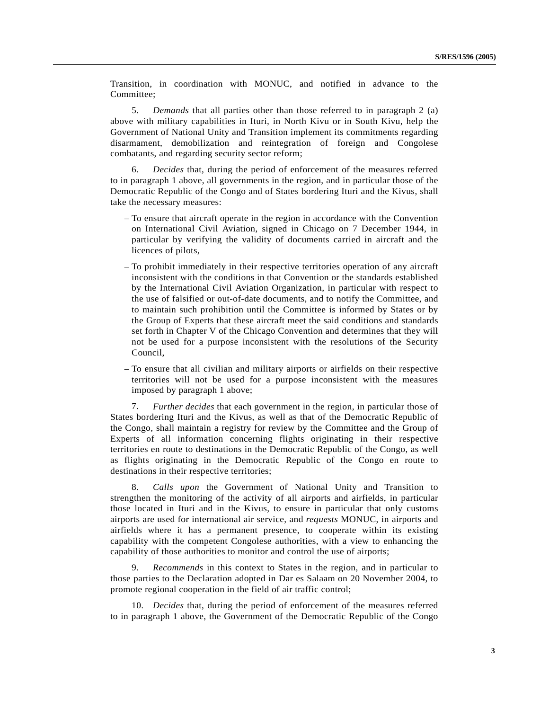Transition, in coordination with MONUC, and notified in advance to the Committee;

5. *Demands* that all parties other than those referred to in paragraph 2 (a) above with military capabilities in Ituri, in North Kivu or in South Kivu, help the Government of National Unity and Transition implement its commitments regarding disarmament, demobilization and reintegration of foreign and Congolese combatants, and regarding security sector reform;

6. *Decides* that, during the period of enforcement of the measures referred to in paragraph 1 above, all governments in the region, and in particular those of the Democratic Republic of the Congo and of States bordering Ituri and the Kivus, shall take the necessary measures:

- To ensure that aircraft operate in the region in accordance with the Convention on International Civil Aviation, signed in Chicago on 7 December 1944, in particular by verifying the validity of documents carried in aircraft and the licences of pilots,
- To prohibit immediately in their respective territories operation of any aircraft inconsistent with the conditions in that Convention or the standards established by the International Civil Aviation Organization, in particular with respect to the use of falsified or out-of-date documents, and to notify the Committee, and to maintain such prohibition until the Committee is informed by States or by the Group of Experts that these aircraft meet the said conditions and standards set forth in Chapter V of the Chicago Convention and determines that they will not be used for a purpose inconsistent with the resolutions of the Security Council,
- To ensure that all civilian and military airports or airfields on their respective territories will not be used for a purpose inconsistent with the measures imposed by paragraph 1 above;

7. *Further decides* that each government in the region, in particular those of States bordering Ituri and the Kivus, as well as that of the Democratic Republic of the Congo, shall maintain a registry for review by the Committee and the Group of Experts of all information concerning flights originating in their respective territories en route to destinations in the Democratic Republic of the Congo, as well as flights originating in the Democratic Republic of the Congo en route to destinations in their respective territories;

8. *Calls upon* the Government of National Unity and Transition to strengthen the monitoring of the activity of all airports and airfields, in particular those located in Ituri and in the Kivus, to ensure in particular that only customs airports are used for international air service, and *requests* MONUC, in airports and airfields where it has a permanent presence, to cooperate within its existing capability with the competent Congolese authorities, with a view to enhancing the capability of those authorities to monitor and control the use of airports;

9. *Recommends* in this context to States in the region, and in particular to those parties to the Declaration adopted in Dar es Salaam on 20 November 2004, to promote regional cooperation in the field of air traffic control;

10. *Decides* that, during the period of enforcement of the measures referred to in paragraph 1 above, the Government of the Democratic Republic of the Congo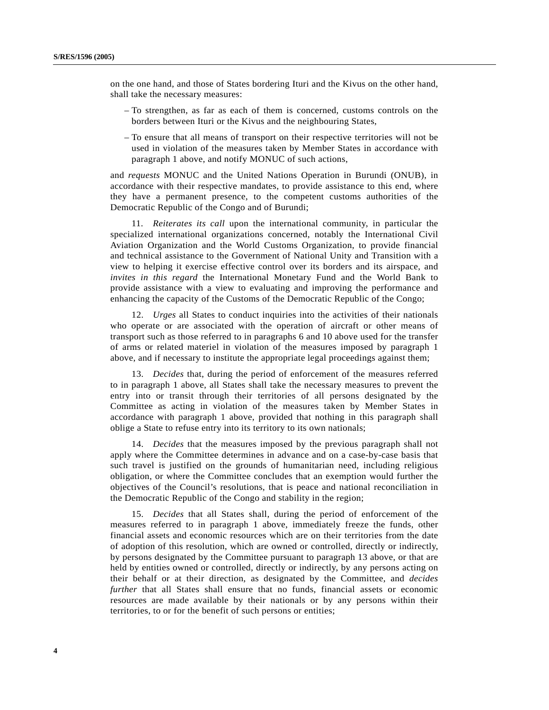on the one hand, and those of States bordering Ituri and the Kivus on the other hand, shall take the necessary measures:

- To strengthen, as far as each of them is concerned, customs controls on the borders between Ituri or the Kivus and the neighbouring States,
- To ensure that all means of transport on their respective territories will not be used in violation of the measures taken by Member States in accordance with paragraph 1 above, and notify MONUC of such actions,

and *requests* MONUC and the United Nations Operation in Burundi (ONUB), in accordance with their respective mandates, to provide assistance to this end, where they have a permanent presence, to the competent customs authorities of the Democratic Republic of the Congo and of Burundi;

11. *Reiterates its call* upon the international community, in particular the specialized international organizations concerned, notably the International Civil Aviation Organization and the World Customs Organization, to provide financial and technical assistance to the Government of National Unity and Transition with a view to helping it exercise effective control over its borders and its airspace, and *invites in this regard* the International Monetary Fund and the World Bank to provide assistance with a view to evaluating and improving the performance and enhancing the capacity of the Customs of the Democratic Republic of the Congo;

12. *Urges* all States to conduct inquiries into the activities of their nationals who operate or are associated with the operation of aircraft or other means of transport such as those referred to in paragraphs 6 and 10 above used for the transfer of arms or related materiel in violation of the measures imposed by paragraph 1 above, and if necessary to institute the appropriate legal proceedings against them;

13. *Decides* that, during the period of enforcement of the measures referred to in paragraph 1 above, all States shall take the necessary measures to prevent the entry into or transit through their territories of all persons designated by the Committee as acting in violation of the measures taken by Member States in accordance with paragraph 1 above, provided that nothing in this paragraph shall oblige a State to refuse entry into its territory to its own nationals;

14. *Decides* that the measures imposed by the previous paragraph shall not apply where the Committee determines in advance and on a case-by-case basis that such travel is justified on the grounds of humanitarian need, including religious obligation, or where the Committee concludes that an exemption would further the objectives of the Council's resolutions, that is peace and national reconciliation in the Democratic Republic of the Congo and stability in the region;

15. *Decides* that all States shall, during the period of enforcement of the measures referred to in paragraph 1 above, immediately freeze the funds, other financial assets and economic resources which are on their territories from the date of adoption of this resolution, which are owned or controlled, directly or indirectly, by persons designated by the Committee pursuant to paragraph 13 above, or that are held by entities owned or controlled, directly or indirectly, by any persons acting on their behalf or at their direction, as designated by the Committee, and *decides further* that all States shall ensure that no funds, financial assets or economic resources are made available by their nationals or by any persons within their territories, to or for the benefit of such persons or entities;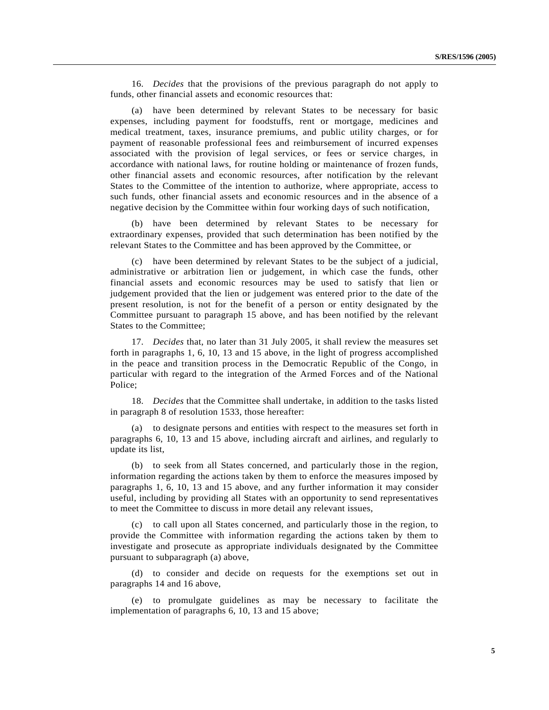16. *Decides* that the provisions of the previous paragraph do not apply to funds, other financial assets and economic resources that:

(a) have been determined by relevant States to be necessary for basic expenses, including payment for foodstuffs, rent or mortgage, medicines and medical treatment, taxes, insurance premiums, and public utility charges, or for payment of reasonable professional fees and reimbursement of incurred expenses associated with the provision of legal services, or fees or service charges, in accordance with national laws, for routine holding or maintenance of frozen funds, other financial assets and economic resources, after notification by the relevant States to the Committee of the intention to authorize, where appropriate, access to such funds, other financial assets and economic resources and in the absence of a negative decision by the Committee within four working days of such notification,

(b) have been determined by relevant States to be necessary for extraordinary expenses, provided that such determination has been notified by the relevant States to the Committee and has been approved by the Committee, or

(c) have been determined by relevant States to be the subject of a judicial, administrative or arbitration lien or judgement, in which case the funds, other financial assets and economic resources may be used to satisfy that lien or judgement provided that the lien or judgement was entered prior to the date of the present resolution, is not for the benefit of a person or entity designated by the Committee pursuant to paragraph 15 above, and has been notified by the relevant States to the Committee;

17. *Decides* that, no later than 31 July 2005, it shall review the measures set forth in paragraphs 1, 6, 10, 13 and 15 above, in the light of progress accomplished in the peace and transition process in the Democratic Republic of the Congo, in particular with regard to the integration of the Armed Forces and of the National Police;

18. *Decides* that the Committee shall undertake, in addition to the tasks listed in paragraph 8 of resolution 1533, those hereafter:

(a) to designate persons and entities with respect to the measures set forth in paragraphs 6, 10, 13 and 15 above, including aircraft and airlines, and regularly to update its list,

(b) to seek from all States concerned, and particularly those in the region, information regarding the actions taken by them to enforce the measures imposed by paragraphs 1, 6, 10, 13 and 15 above, and any further information it may consider useful, including by providing all States with an opportunity to send representatives to meet the Committee to discuss in more detail any relevant issues,

(c) to call upon all States concerned, and particularly those in the region, to provide the Committee with information regarding the actions taken by them to investigate and prosecute as appropriate individuals designated by the Committee pursuant to subparagraph (a) above,

(d) to consider and decide on requests for the exemptions set out in paragraphs 14 and 16 above,

(e) to promulgate guidelines as may be necessary to facilitate the implementation of paragraphs 6, 10, 13 and 15 above;